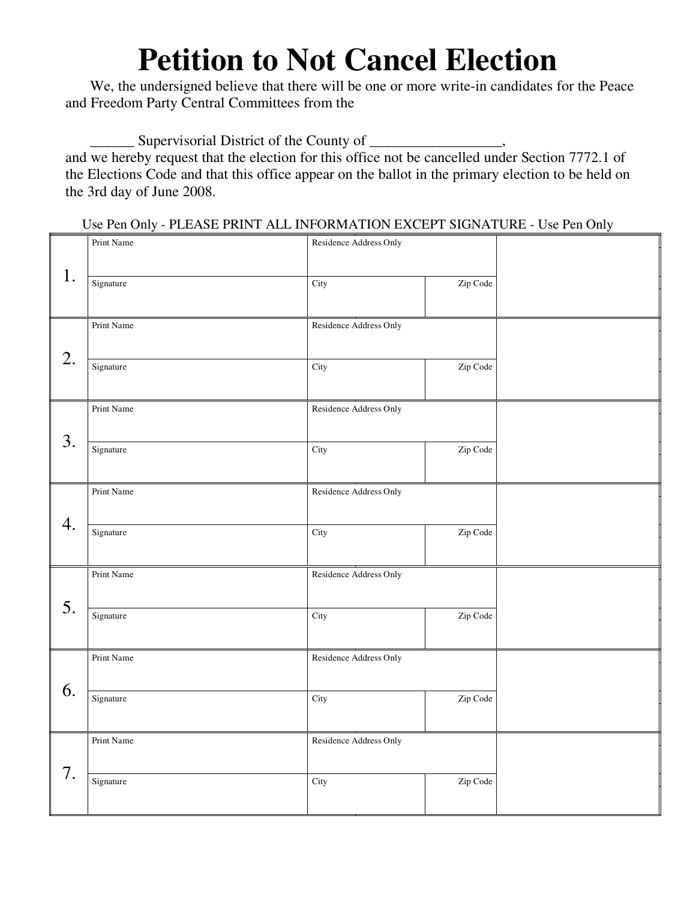## **Petition to Not Cancel Election**

We, the undersigned believe that there will be one or more write-in candidates for the Peace and Freedom Party Central Committees from the

\_\_\_\_\_\_ Supervisorial District of the County of \_\_\_\_\_\_\_\_\_\_\_\_\_\_\_\_\_\_,

and we hereby request that the election for this office not be cancelled under Section 7772.1 of the Elections Code and that this office appear on the ballot in the primary election to be held on the 3rd day of June 2008.

Use Pen Only - PLEASE PRINT ALL INFORMATION EXCEPT SIGNATURE - Use Pen Only

|    | Print Name | Residence Address Only |          |  |
|----|------------|------------------------|----------|--|
| 1. | Signature  | City                   | Zip Code |  |
|    | Print Name | Residence Address Only |          |  |
| 2. | Signature  | City                   | Zip Code |  |
| 3. | Print Name | Residence Address Only |          |  |
|    | Signature  | City                   | Zip Code |  |
| 4. | Print Name | Residence Address Only |          |  |
|    | Signature  | City                   | Zip Code |  |
| 5. | Print Name | Residence Address Only |          |  |
|    | Signature  | City                   | Zip Code |  |
| 6. | Print Name | Residence Address Only |          |  |
|    | Signature  | City                   | Zip Code |  |
|    | Print Name | Residence Address Only |          |  |
| 7. | Signature  | City                   | Zip Code |  |